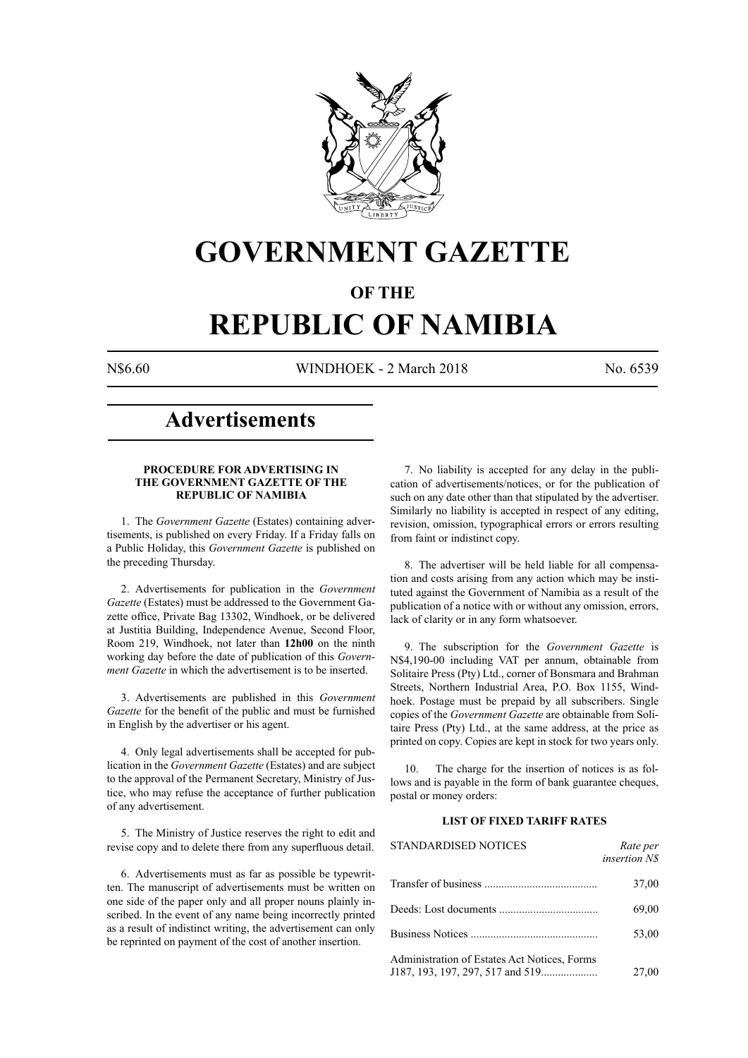

## **GOVERNMENT GAZETTE**

## **OF THE**

# **REPUBLIC OF NAMIBIA**

N\$6.60 WINDHOEK - 2 March 2018 No. 6539

## **Advertisements**

## **PROCEDURE FOR ADVERTISING IN THE GOVERNMENT GAZETTE OF THE REPUBLIC OF NAMIBIA**

1. The *Government Gazette* (Estates) containing advertisements, is published on every Friday. If a Friday falls on a Public Holiday, this *Government Gazette* is published on the preceding Thursday.

2. Advertisements for publication in the *Government Gazette* (Estates) must be addressed to the Government Gazette office, Private Bag 13302, Windhoek, or be delivered at Justitia Building, Independence Avenue, Second Floor, Room 219, Windhoek, not later than **12h00** on the ninth working day before the date of publication of this *Government Gazette* in which the advertisement is to be inserted.

3. Advertisements are published in this *Government Gazette* for the benefit of the public and must be furnished in English by the advertiser or his agent.

4. Only legal advertisements shall be accepted for publication in the *Government Gazette* (Estates) and are subject to the approval of the Permanent Secretary, Ministry of Justice, who may refuse the acceptance of further publication of any advertisement.

5. The Ministry of Justice reserves the right to edit and revise copy and to delete there from any superfluous detail.

6. Advertisements must as far as possible be typewritten. The manuscript of advertisements must be written on one side of the paper only and all proper nouns plainly inscribed. In the event of any name being incorrectly printed as a result of indistinct writing, the advertisement can only be reprinted on payment of the cost of another insertion.

7. No liability is accepted for any delay in the publication of advertisements/notices, or for the publication of such on any date other than that stipulated by the advertiser. Similarly no liability is accepted in respect of any editing, revision, omission, typographical errors or errors resulting from faint or indistinct copy.

8. The advertiser will be held liable for all compensation and costs arising from any action which may be instituted against the Government of Namibia as a result of the publication of a notice with or without any omission, errors, lack of clarity or in any form whatsoever.

9. The subscription for the *Government Gazette* is N\$4,190-00 including VAT per annum, obtainable from Solitaire Press (Pty) Ltd., corner of Bonsmara and Brahman Streets, Northern Industrial Area, P.O. Box 1155, Windhoek. Postage must be prepaid by all subscribers. Single copies of the *Government Gazette* are obtainable from Solitaire Press (Pty) Ltd., at the same address, at the price as printed on copy. Copies are kept in stock for two years only.

10. The charge for the insertion of notices is as follows and is payable in the form of bank guarantee cheques, postal or money orders:

## **LIST OF FIXED TARIFF RATES**

| <b>STANDARDISED NOTICES</b>                  | Rate per<br>insertion N\$ |
|----------------------------------------------|---------------------------|
|                                              | 37,00                     |
|                                              | 69,00                     |
|                                              | 53,00                     |
| Administration of Estates Act Notices, Forms | 27,00                     |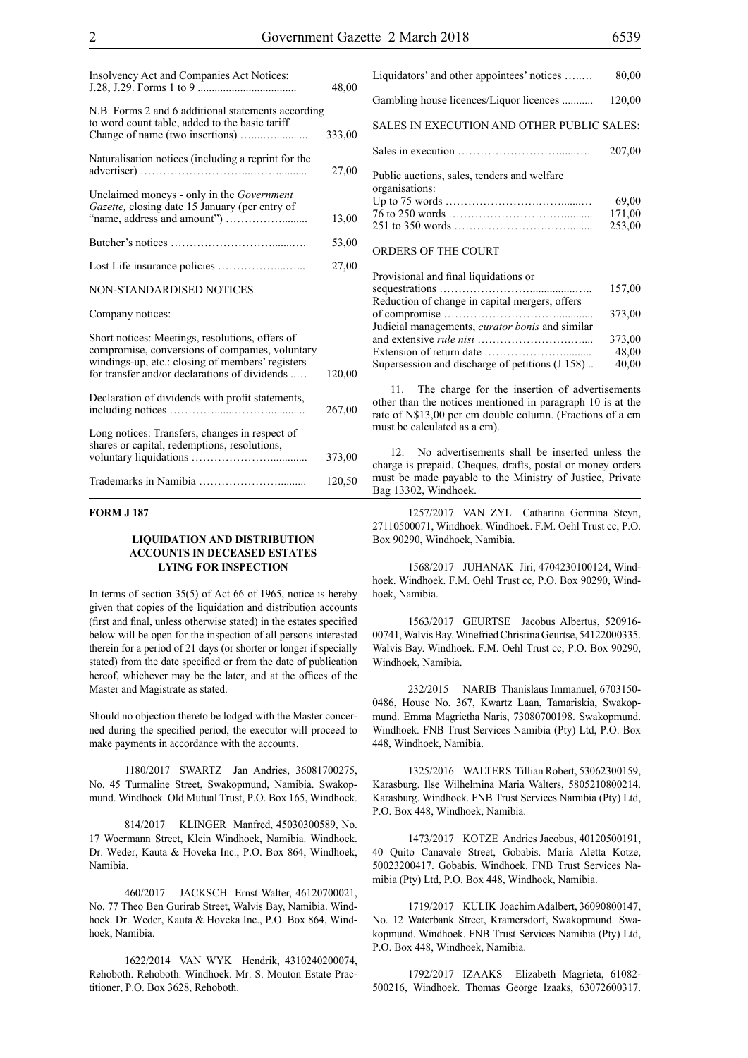| Insolvency Act and Companies Act Notices:                                                                                                                                                               | 48,00  |
|---------------------------------------------------------------------------------------------------------------------------------------------------------------------------------------------------------|--------|
| N.B. Forms 2 and 6 additional statements according<br>to word count table, added to the basic tariff.                                                                                                   | 333,00 |
| Naturalisation notices (including a reprint for the                                                                                                                                                     | 27,00  |
| Unclaimed moneys - only in the Government<br>Gazette, closing date 15 January (per entry of                                                                                                             | 13,00  |
|                                                                                                                                                                                                         | 53,00  |
|                                                                                                                                                                                                         | 27,00  |
| <b>NON-STANDARDISED NOTICES</b>                                                                                                                                                                         |        |
| Company notices:                                                                                                                                                                                        |        |
| Short notices: Meetings, resolutions, offers of<br>compromise, conversions of companies, voluntary<br>windings-up, etc.: closing of members' registers<br>for transfer and/or declarations of dividends | 120,00 |
| Declaration of dividends with profit statements,                                                                                                                                                        | 267,00 |
| Long notices: Transfers, changes in respect of<br>shares or capital, redemptions, resolutions,                                                                                                          | 373,00 |
|                                                                                                                                                                                                         | 120,50 |

## **FORM J 187**

## **LIQUIDATION AND DISTRIBUTION ACCOUNTS IN DECEASED ESTATES LYING FOR INSPECTION**

In terms of section 35(5) of Act 66 of 1965, notice is hereby given that copies of the liquidation and distribution accounts (first and final, unless otherwise stated) in the estates specified below will be open for the inspection of all persons interested therein for a period of 21 days (or shorter or longer if specially stated) from the date specified or from the date of publication hereof, whichever may be the later, and at the offices of the Master and Magistrate as stated.

Should no objection thereto be lodged with the Master concerned during the specified period, the executor will proceed to make payments in accordance with the accounts.

1180/2017 SWARTZ Jan Andries, 36081700275, No. 45 Turmaline Street, Swakopmund, Namibia. Swakopmund. Windhoek. Old Mutual Trust, P.O. Box 165, Windhoek.

814/2017 KLINGER Manfred, 45030300589, No. 17 Woermann Street, Klein Windhoek, Namibia. Windhoek. Dr. Weder, Kauta & Hoveka Inc., P.O. Box 864, Windhoek, Namibia.

460/2017 JACKSCH Ernst Walter, 46120700021, No. 77 Theo Ben Gurirab Street, Walvis Bay, Namibia. Windhoek. Dr. Weder, Kauta & Hoveka Inc., P.O. Box 864, Windhoek, Namibia.

1622/2014 VAN WYK Hendrik, 4310240200074, Rehoboth. Rehoboth. Windhoek. Mr. S. Mouton Estate Practitioner, P.O. Box 3628, Rehoboth.

| Liquidators' and other appointees' notices                    | 80,00            |
|---------------------------------------------------------------|------------------|
| Gambling house licences/Liquor licences                       | 120,00           |
| SALES IN EXECUTION AND OTHER PUBLIC SALES:                    |                  |
|                                                               | 207.00           |
| Public auctions, sales, tenders and welfare<br>organisations: | 69,00            |
|                                                               | 171,00<br>253,00 |
| ORDERS OF THE COURT                                           |                  |

| Provisional and final liquidations or                  |        |
|--------------------------------------------------------|--------|
|                                                        | 157,00 |
| Reduction of change in capital mergers, offers         |        |
|                                                        | 373,00 |
| Judicial managements, <i>curator bonis</i> and similar |        |
|                                                        | 373,00 |
|                                                        | 48,00  |
| Supersession and discharge of petitions (J.158)        | 40,00  |
|                                                        |        |

11. The charge for the insertion of advertisements other than the notices mentioned in paragraph 10 is at the rate of N\$13,00 per cm double column. (Fractions of a cm must be calculated as a cm).

12. No advertisements shall be inserted unless the charge is prepaid. Cheques, drafts, postal or money orders must be made payable to the Ministry of Justice, Private Bag 13302, Windhoek.

1257/2017 VAN ZYL Catharina Germina Steyn, 27110500071, Windhoek. Windhoek. F.M. Oehl Trust cc, P.O. Box 90290, Windhoek, Namibia.

1568/2017 JUHANAK Jiri, 4704230100124, Windhoek. Windhoek. F.M. Oehl Trust cc, P.O. Box 90290, Windhoek, Namibia.

1563/2017 GEURTSE Jacobus Albertus, 520916- 00741, Walvis Bay. Winefried Christina Geurtse, 54122000335. Walvis Bay. Windhoek. F.M. Oehl Trust cc, P.O. Box 90290, Windhoek, Namibia.

232/2015 NARIB Thanislaus Immanuel, 6703150- 0486, House No. 367, Kwartz Laan, Tamariskia, Swakopmund. Emma Magrietha Naris, 73080700198. Swakopmund. Windhoek. FNB Trust Services Namibia (Pty) Ltd, P.O. Box 448, Windhoek, Namibia.

1325/2016 WALTERS Tillian Robert, 53062300159, Karasburg. Ilse Wilhelmina Maria Walters, 5805210800214. Karasburg. Windhoek. FNB Trust Services Namibia (Pty) Ltd, P.O. Box 448, Windhoek, Namibia.

1473/2017 KOTZE Andries Jacobus, 40120500191, 40 Quito Canavale Street, Gobabis. Maria Aletta Kotze, 50023200417. Gobabis. Windhoek. FNB Trust Services Namibia (Pty) Ltd, P.O. Box 448, Windhoek, Namibia.

1719/2017 KULIK Joachim Adalbert, 36090800147, No. 12 Waterbank Street, Kramersdorf, Swakopmund. Swakopmund. Windhoek. FNB Trust Services Namibia (Pty) Ltd, P.O. Box 448, Windhoek, Namibia.

1792/2017 IZAAKS Elizabeth Magrieta, 61082- 500216, Windhoek. Thomas George Izaaks, 63072600317.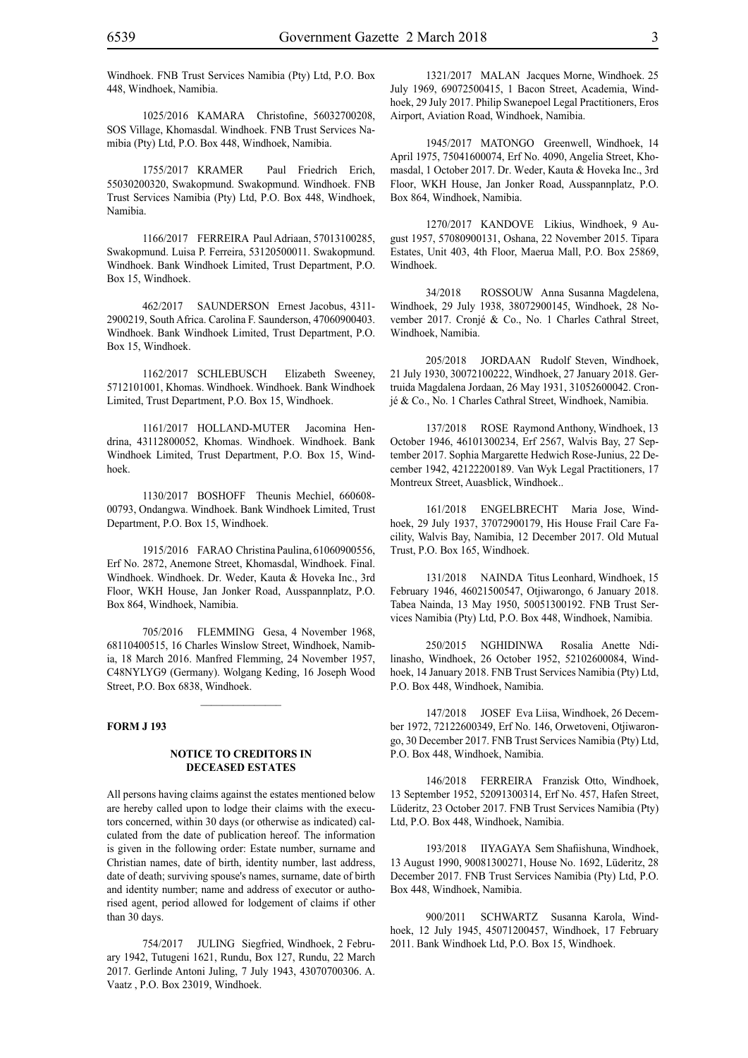Windhoek. FNB Trust Services Namibia (Pty) Ltd, P.O. Box 448, Windhoek, Namibia.

1025/2016 KAMARA Christofine, 56032700208, SOS Village, Khomasdal. Windhoek. FNB Trust Services Namibia (Pty) Ltd, P.O. Box 448, Windhoek, Namibia.

1755/2017 KRAMER Paul Friedrich Erich, 55030200320, Swakopmund. Swakopmund. Windhoek. FNB Trust Services Namibia (Pty) Ltd, P.O. Box 448, Windhoek, Namibia.

1166/2017 FERREIRA Paul Adriaan, 57013100285, Swakopmund. Luisa P. Ferreira, 53120500011. Swakopmund. Windhoek. Bank Windhoek Limited, Trust Department, P.O. Box 15, Windhoek.

462/2017 SAUNDERSON Ernest Jacobus, 4311- 2900219, South Africa. Carolina F. Saunderson, 47060900403. Windhoek. Bank Windhoek Limited, Trust Department, P.O. Box 15, Windhoek.

1162/2017 SCHLEBUSCH Elizabeth Sweeney, 5712101001, Khomas. Windhoek. Windhoek. Bank Windhoek Limited, Trust Department, P.O. Box 15, Windhoek.

1161/2017 HOLLAND-MUTER Jacomina Hendrina, 43112800052, Khomas. Windhoek. Windhoek. Bank Windhoek Limited, Trust Department, P.O. Box 15, Windhoek.

1130/2017 BOSHOFF Theunis Mechiel, 660608- 00793, Ondangwa. Windhoek. Bank Windhoek Limited, Trust Department, P.O. Box 15, Windhoek.

1915/2016 FARAO Christina Paulina, 61060900556, Erf No. 2872, Anemone Street, Khomasdal, Windhoek. Final. Windhoek. Windhoek. Dr. Weder, Kauta & Hoveka Inc., 3rd Floor, WKH House, Jan Jonker Road, Ausspannplatz, P.O. Box 864, Windhoek, Namibia.

705/2016 FLEMMING Gesa, 4 November 1968, 68110400515, 16 Charles Winslow Street, Windhoek, Namibia, 18 March 2016. Manfred Flemming, 24 November 1957, C48NYLYG9 (Germany). Wolgang Keding, 16 Joseph Wood Street, P.O. Box 6838, Windhoek.

## **FORM J 193**

## **NOTICE TO CREDITORS IN DECEASED ESTATES**

All persons having claims against the estates mentioned below are hereby called upon to lodge their claims with the executors concerned, within 30 days (or otherwise as indicated) calculated from the date of publication hereof. The information is given in the following order: Estate number, surname and Christian names, date of birth, identity number, last address, date of death; surviving spouse's names, surname, date of birth and identity number; name and address of executor or authorised agent, period allowed for lodgement of claims if other than 30 days.

754/2017 JULING Siegfried, Windhoek, 2 February 1942, Tutugeni 1621, Rundu, Box 127, Rundu, 22 March 2017. Gerlinde Antoni Juling, 7 July 1943, 43070700306. A. Vaatz , P.O. Box 23019, Windhoek.

1321/2017 MALAN Jacques Morne, Windhoek. 25 July 1969, 69072500415, 1 Bacon Street, Academia, Windhoek, 29 July 2017. Philip Swanepoel Legal Practitioners, Eros Airport, Aviation Road, Windhoek, Namibia.

1945/2017 MATONGO Greenwell, Windhoek, 14 April 1975, 75041600074, Erf No. 4090, Angelia Street, Khomasdal, 1 October 2017. Dr. Weder, Kauta & Hoveka Inc., 3rd Floor, WKH House, Jan Jonker Road, Ausspannplatz, P.O. Box 864, Windhoek, Namibia.

1270/2017 KANDOVE Likius, Windhoek, 9 August 1957, 57080900131, Oshana, 22 November 2015. Tipara Estates, Unit 403, 4th Floor, Maerua Mall, P.O. Box 25869, Windhoek.

34/2018 ROSSOUW Anna Susanna Magdelena, Windhoek, 29 July 1938, 38072900145, Windhoek, 28 November 2017. Cronjé & Co., No. 1 Charles Cathral Street, Windhoek, Namibia.

205/2018 JORDAAN Rudolf Steven, Windhoek, 21 July 1930, 30072100222, Windhoek, 27 January 2018. Gertruida Magdalena Jordaan, 26 May 1931, 31052600042. Cronjé & Co., No. 1 Charles Cathral Street, Windhoek, Namibia.

137/2018 ROSE Raymond Anthony, Windhoek, 13 October 1946, 46101300234, Erf 2567, Walvis Bay, 27 September 2017. Sophia Margarette Hedwich Rose-Junius, 22 December 1942, 42122200189. Van Wyk Legal Practitioners, 17 Montreux Street, Auasblick, Windhoek..

161/2018 ENGELBRECHT Maria Jose, Windhoek, 29 July 1937, 37072900179, His House Frail Care Facility, Walvis Bay, Namibia, 12 December 2017. Old Mutual Trust, P.O. Box 165, Windhoek.

131/2018 NAINDA Titus Leonhard, Windhoek, 15 February 1946, 46021500547, Otjiwarongo, 6 January 2018. Tabea Nainda, 13 May 1950, 50051300192. FNB Trust Services Namibia (Pty) Ltd, P.O. Box 448, Windhoek, Namibia.

250/2015 NGHIDINWA Rosalia Anette Ndilinasho, Windhoek, 26 October 1952, 52102600084, Windhoek, 14 January 2018. FNB Trust Services Namibia (Pty) Ltd, P.O. Box 448, Windhoek, Namibia.

147/2018 JOSEF Eva Liisa, Windhoek, 26 December 1972, 72122600349, Erf No. 146, Orwetoveni, Otjiwarongo, 30 December 2017. FNB Trust Services Namibia (Pty) Ltd, P.O. Box 448, Windhoek, Namibia.

146/2018 FERREIRA Franzisk Otto, Windhoek, 13 September 1952, 52091300314, Erf No. 457, Hafen Street, Lüderitz, 23 October 2017. FNB Trust Services Namibia (Pty) Ltd, P.O. Box 448, Windhoek, Namibia.

193/2018 IIYAGAYA Sem Shafiishuna, Windhoek, 13 August 1990, 90081300271, House No. 1692, Lüderitz, 28 December 2017. FNB Trust Services Namibia (Pty) Ltd, P.O. Box 448, Windhoek, Namibia.

900/2011 SCHWARTZ Susanna Karola, Windhoek, 12 July 1945, 45071200457, Windhoek, 17 February 2011. Bank Windhoek Ltd, P.O. Box 15, Windhoek.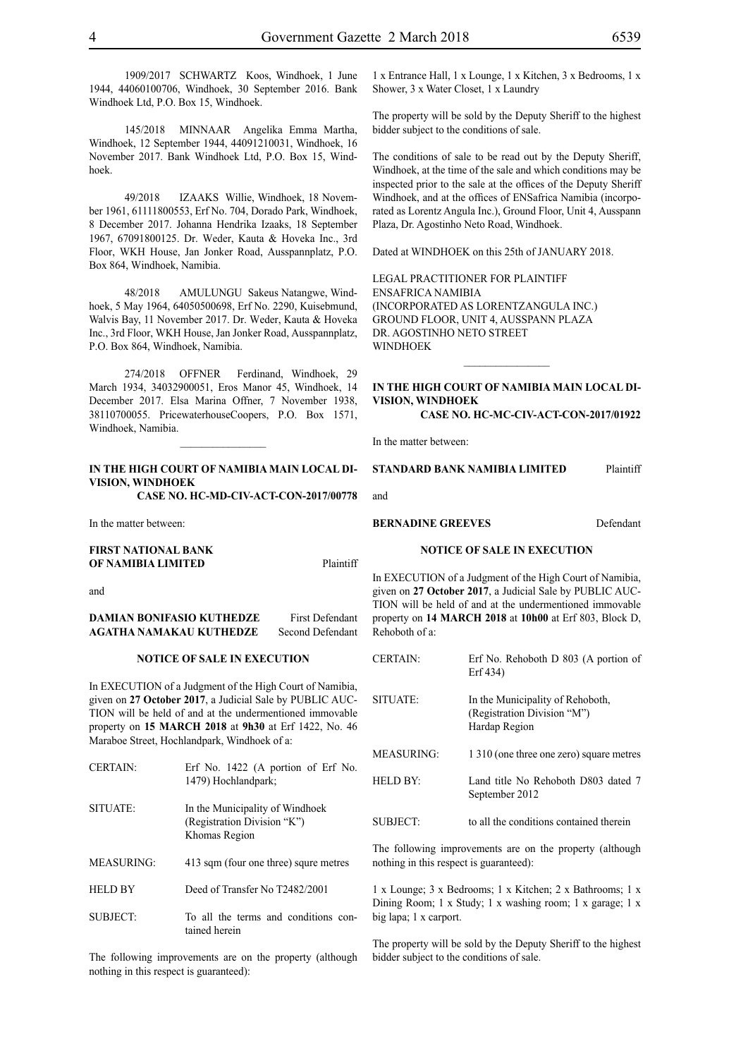1909/2017 SCHWARTZ Koos, Windhoek, 1 June 1944, 44060100706, Windhoek, 30 September 2016. Bank Windhoek Ltd, P.O. Box 15, Windhoek.

145/2018 MINNAAR Angelika Emma Martha, Windhoek, 12 September 1944, 44091210031, Windhoek, 16 November 2017. Bank Windhoek Ltd, P.O. Box 15, Windhoek.

49/2018 IZAAKS Willie, Windhoek, 18 November 1961, 61111800553, Erf No. 704, Dorado Park, Windhoek, 8 December 2017. Johanna Hendrika Izaaks, 18 September 1967, 67091800125. Dr. Weder, Kauta & Hoveka Inc., 3rd Floor, WKH House, Jan Jonker Road, Ausspannplatz, P.O. Box 864, Windhoek, Namibia.

48/2018 AMULUNGU Sakeus Natangwe, Windhoek, 5 May 1964, 64050500698, Erf No. 2290, Kuisebmund, Walvis Bay, 11 November 2017. Dr. Weder, Kauta & Hoveka Inc., 3rd Floor, WKH House, Jan Jonker Road, Ausspannplatz, P.O. Box 864, Windhoek, Namibia.

274/2018 OFFNER Ferdinand, Windhoek, 29 March 1934, 34032900051, Eros Manor 45, Windhoek, 14 December 2017. Elsa Marina Offner, 7 November 1938, 38110700055. PricewaterhouseCoopers, P.O. Box 1571, Windhoek, Namibia.

## **IN THE HIGH COURT OF NAMIBIA MAIN LOCAL DI-VISION, WINDHOEK**

 $\frac{1}{2}$ 

**Case No. HC-MD-CIV-ACT-CON-2017/00778**

In the matter between:

## **FIRST NATIONAL BANK OF NAMIBIA LIMITED** Plaintiff

and

## **DAMIAN BONIFASIO KUTHEDZE** First Defendant **AGATHA NAMAKAU KUTHEDZE** Second Defendant

### **NOTICE OF SALE IN EXECUTION**

In EXECUTION of a Judgment of the High Court of Namibia, given on **27 October 2017**, a Judicial Sale by PUBLIC AUC-TION will be held of and at the undermentioned immovable property on **15 MARCH 2018** at **9h30** at Erf 1422, No. 46 Maraboe Street, Hochlandpark, Windhoek of a:

| Erf No. $1422$ (A portion of Erf No.<br>1479) Hochlandpark;                     |
|---------------------------------------------------------------------------------|
| In the Municipality of Windhoek<br>(Registration Division "K")<br>Khomas Region |
| 413 sqm (four one three) squre metres                                           |
| Deed of Transfer No T2482/2001                                                  |
| To all the terms and conditions con-<br>tained herein                           |
|                                                                                 |

The following improvements are on the property (although nothing in this respect is guaranteed):

The property will be sold by the Deputy Sheriff to the highest bidder subject to the conditions of sale.

The conditions of sale to be read out by the Deputy Sheriff, Windhoek, at the time of the sale and which conditions may be inspected prior to the sale at the offices of the Deputy Sheriff Windhoek, and at the offices of ENSafrica Namibia (incorporated as Lorentz Angula Inc.), Ground Floor, Unit 4, Ausspann Plaza, Dr. Agostinho Neto Road, Windhoek.

Dated at WINDHOEK on this 25th of JANUARY 2018.

Legal Practitioner for Plaintiff ENSafrica Namibia (incorporated as LorentzAngula Inc.) Ground Floor, Unit 4, Ausspann Plaza DR. AGOSTINHO NETO STREET WINDHOEK

## **IN THE HIGH COURT OF NAMIBIA MAIN LOCAL DI-VISION, WINDHOEK**

 $\frac{1}{2}$ 

**Case No. HC-MC-CIV-ACT-CON-2017/01922**

In the matter between:

### **STANDARD BANK NAMIBIA LIMITED** Plaintiff

and

**BERNADINE GREEVES** Defendant

## **NOTICE OF SALE IN EXECUTION**

In EXECUTION of a Judgment of the High Court of Namibia, given on **27 October 2017**, a Judicial Sale by PUBLIC AUC-TION will be held of and at the undermentioned immovable property on **14 MARCH 2018** at **10h00** at Erf 803, Block D, Rehoboth of a:

| <b>CERTAIN:</b>   | Erf No. Rehoboth $D$ 803 (A portion of<br>Erf 434)                               |
|-------------------|----------------------------------------------------------------------------------|
| SITUATE:          | In the Municipality of Rehoboth,<br>(Registration Division "M")<br>Hardap Region |
| <b>MEASURING:</b> | 1 310 (one three one zero) square metres                                         |
| <b>HELD BY:</b>   | Land title No Rehoboth D803 dated 7<br>September 2012                            |
| <b>SUBJECT:</b>   | to all the conditions contained therein                                          |

The following improvements are on the property (although nothing in this respect is guaranteed):

1 x Lounge; 3 x Bedrooms; 1 x Kitchen; 2 x Bathrooms; 1 x Dining Room; 1 x Study; 1 x washing room; 1 x garage; 1 x big lapa; 1 x carport.

The property will be sold by the Deputy Sheriff to the highest bidder subject to the conditions of sale.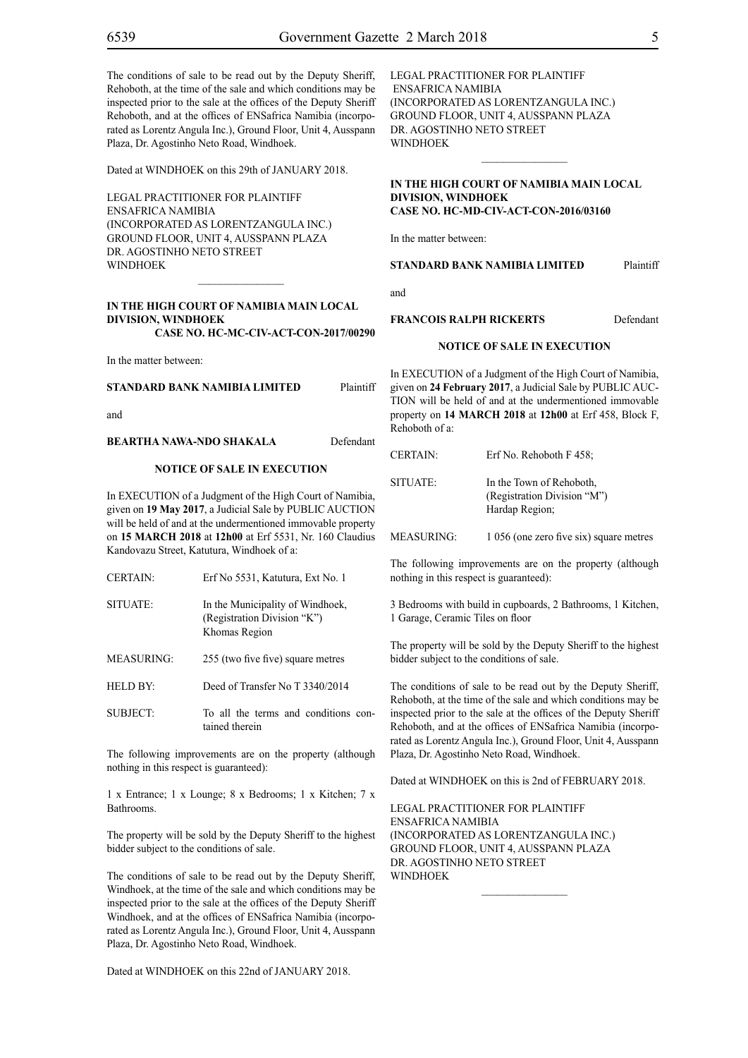The conditions of sale to be read out by the Deputy Sheriff, Rehoboth, at the time of the sale and which conditions may be inspected prior to the sale at the offices of the Deputy Sheriff Rehoboth, and at the offices of ENSafrica Namibia (incorporated as Lorentz Angula Inc.), Ground Floor, Unit 4, Ausspann Plaza, Dr. Agostinho Neto Road, Windhoek.

Dated at WINDHOEK on this 29th of JANUARY 2018.

Legal Practitioner for Plaintiff ENSafrica Namibia (incorporated as LorentzAngula Inc.) Ground Floor, Unit 4, Ausspann Plaza Dr. Agostinho Neto Street WINDHOEK

## **IN THE HIGH COURT OF NAMIBIA MAIN LOCAL DIVISION, WINDHOEK Case No. HC-MC-CIV-ACT-CON-2017/00290**

 $\mathcal{L}=\mathcal{L}^{\mathcal{L}}$ 

In the matter between:

| STANDARD BANK NAMIBIA LIMITED | Plaintiff |
|-------------------------------|-----------|
| and                           |           |

**BEARTHA NAWA-NDO SHAKALA** Defendant

## **NOTICE OF SALE IN EXECUTION**

In EXECUTION of a Judgment of the High Court of Namibia, given on **19 May 2017**, a Judicial Sale by PUBLIC AUCTION will be held of and at the undermentioned immovable property on **15 MARCH 2018** at **12h00** at Erf 5531, Nr. 160 Claudius Kandovazu Street, Katutura, Windhoek of a:

| <b>CERTAIN:</b>   | Erf No 5531, Katutura, Ext No. 1                                                 |
|-------------------|----------------------------------------------------------------------------------|
| SITUATE:          | In the Municipality of Windhoek,<br>(Registration Division "K")<br>Khomas Region |
| <b>MEASURING:</b> | 255 (two five five) square metres                                                |
| HELD BY:          | Deed of Transfer No T 3340/2014                                                  |
| <b>SUBJECT:</b>   | To all the terms and conditions con-<br>tained therein                           |

The following improvements are on the property (although nothing in this respect is guaranteed):

1 x Entrance; 1 x Lounge; 8 x Bedrooms; 1 x Kitchen; 7 x Bathrooms.

The property will be sold by the Deputy Sheriff to the highest bidder subject to the conditions of sale.

The conditions of sale to be read out by the Deputy Sheriff, Windhoek, at the time of the sale and which conditions may be inspected prior to the sale at the offices of the Deputy Sheriff Windhoek, and at the offices of ENSafrica Namibia (incorporated as Lorentz Angula Inc.), Ground Floor, Unit 4, Ausspann Plaza, Dr. Agostinho Neto Road, Windhoek.

Dated at WINDHOEK on this 22nd of JANUARY 2018.

Legal Practitioner for Plaintiff ENSafrica Namibia (incorporated as LorentzAngula Inc.) Ground Floor, Unit 4, Ausspann Plaza Dr. Agostinho Neto Street WINDHOEK

## **IN THE HIGH COURT OF NAMIBIA MAIN LOCAL DIVISION, WINDHOEK Case No. HC-MD-CIV-ACT-CON-2016/03160**

 $\frac{1}{2}$ 

In the matter between:

**STANDARD BANK NAMIBIA LIMITED** Plaintiff

and

### **FRANCOIS RALPH RICKERTS** Defendant

#### **NOTICE OF SALE IN EXECUTION**

In EXECUTION of a Judgment of the High Court of Namibia, given on **24 February 2017**, a Judicial Sale by PUBLIC AUC-TION will be held of and at the undermentioned immovable property on **14 MARCH 2018** at **12h00** at Erf 458, Block F, Rehoboth of a:

| <b>CERTAIN:</b> | Erf No. Rehoboth F 458; |
|-----------------|-------------------------|
|-----------------|-------------------------|

SITUATE: In the Town of Rehoboth, (Registration Division "M") Hardap Region;

MEASURING: 1 056 (one zero five six) square metres

The following improvements are on the property (although nothing in this respect is guaranteed):

3 Bedrooms with build in cupboards, 2 Bathrooms, 1 Kitchen, 1 Garage, Ceramic Tiles on floor

The property will be sold by the Deputy Sheriff to the highest bidder subject to the conditions of sale.

The conditions of sale to be read out by the Deputy Sheriff, Rehoboth, at the time of the sale and which conditions may be inspected prior to the sale at the offices of the Deputy Sheriff Rehoboth, and at the offices of ENSafrica Namibia (incorporated as Lorentz Angula Inc.), Ground Floor, Unit 4, Ausspann Plaza, Dr. Agostinho Neto Road, Windhoek.

Dated at WINDHOEK on this is 2nd of FEBRUARY 2018.

 $\frac{1}{2}$ 

Legal Practitioner for Plaintiff ENSafrica Namibia (incorporated as LorentzAngula Inc.) Ground Floor, Unit 4, Ausspann Plaza Dr. Agostinho Neto Street **WINDHOEK**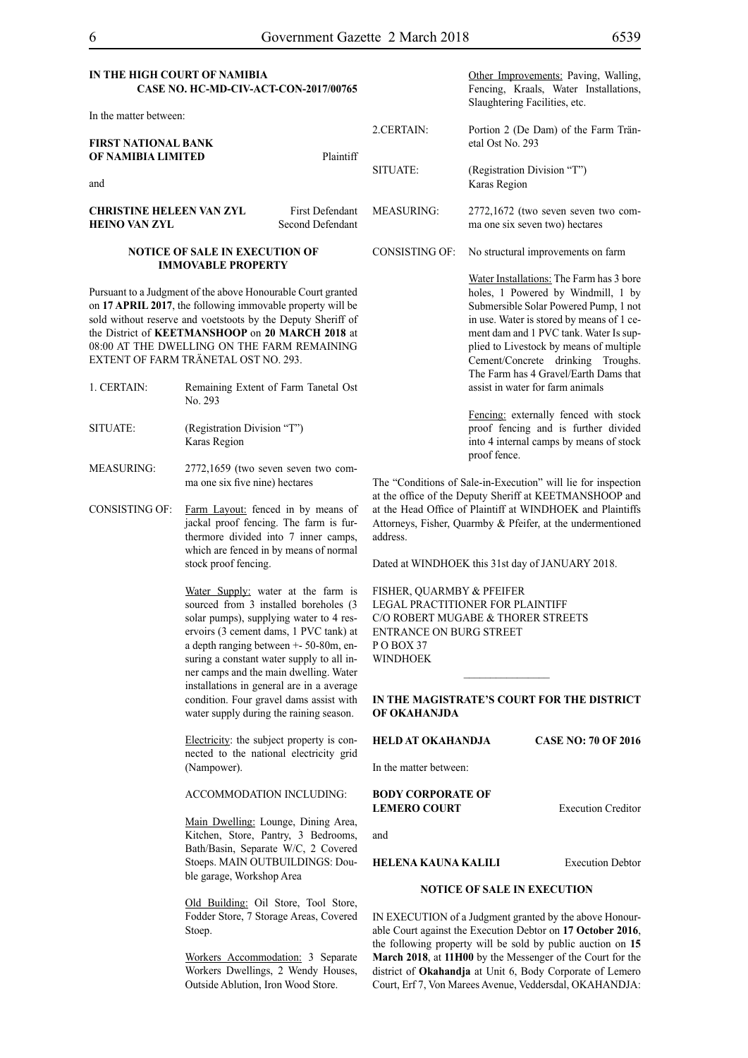| IN THE HIGH COURT OF NAMIBIA          |  |
|---------------------------------------|--|
| CASE NO. HC-MD-CIV-ACT-CON-2017/00765 |  |

| In the matter between:                                  |                                     |            |                                                                         |
|---------------------------------------------------------|-------------------------------------|------------|-------------------------------------------------------------------------|
| <b>FIRST NATIONAL BANK</b>                              |                                     | 2.CERTAIN: | Portion 2 (De Dam) of the Farm Trän-<br>etal Ost No. 293                |
| OF NAMIBIA LIMITED<br>and                               | Plaintiff                           | SITUATE:   | (Registration Division "T")<br>Karas Region                             |
| <b>CHRISTINE HELEEN VAN ZYL</b><br><b>HEINO VAN ZYL</b> | First Defendant<br>Second Defendant | MEASURING: | $2772,1672$ (two seven seven two com-<br>ma one six seven two) hectares |

#### **NOTICE OF SALE IN EXECUTION OF IMMOVABLE PROPERTY**

Pursuant to a Judgment of the above Honourable Court granted on **17 APRIL 2017**, the following immovable property will be sold without reserve and voetstoots by the Deputy Sheriff of the District of **KEETMANSHOOP** on **20 MARCH 2018** at 08:00 AT THE DWELLING ON THE FARM REMAINING EXTENT OF FARM TRÄNETAL OST NO. 293.

- 1. CERTAIN: Remaining Extent of Farm Tanetal Ost No. 293 SITUATE: (Registration Division "T")
- Karas Region
- MEASURING: 2772,1659 (two seven seven two comma one six five nine) hectares
- CONSISTING OF: Farm Layout: fenced in by means of jackal proof fencing. The farm is furthermore divided into 7 inner camps, which are fenced in by means of normal stock proof fencing.

Water Supply: water at the farm is sourced from 3 installed boreholes (3 solar pumps), supplying water to 4 reservoirs (3 cement dams, 1 PVC tank) at a depth ranging between +- 50-80m, ensuring a constant water supply to all inner camps and the main dwelling. Water installations in general are in a average condition. Four gravel dams assist with water supply during the raining season.

Electricity: the subject property is connected to the national electricity grid (Nampower).

ACCOMMODATION INCLUDING:

Main Dwelling: Lounge, Dining Area, Kitchen, Store, Pantry, 3 Bedrooms, Bath/Basin, Separate W/C, 2 Covered Stoeps. MAIN OUTBUILDINGS: Double garage, Workshop Area

Old Building: Oil Store, Tool Store, Fodder Store, 7 Storage Areas, Covered Stoep.

Workers Accommodation: 3 Separate Workers Dwellings, 2 Wendy Houses, Outside Ablution, Iron Wood Store.

|                       | Fencing, Kraals, Water Installations,<br>Slaughtering Facilities, etc.                                                                                                                                                                                                                                                                                                      |
|-----------------------|-----------------------------------------------------------------------------------------------------------------------------------------------------------------------------------------------------------------------------------------------------------------------------------------------------------------------------------------------------------------------------|
| 2.CERTAIN:            | Portion 2 (De Dam) of the Farm Trän-<br>etal Ost No. 293                                                                                                                                                                                                                                                                                                                    |
| SITUATE:              | (Registration Division "T")<br>Karas Region                                                                                                                                                                                                                                                                                                                                 |
| <b>MEASURING:</b>     | 2772,1672 (two seven seven two com-<br>ma one six seven two) hectares                                                                                                                                                                                                                                                                                                       |
| <b>CONSISTING OF:</b> | No structural improvements on farm                                                                                                                                                                                                                                                                                                                                          |
|                       | Water Installations: The Farm has 3 bore<br>holes, 1 Powered by Windmill, 1 by<br>Submersible Solar Powered Pump, 1 not<br>in use. Water is stored by means of 1 ce-<br>ment dam and 1 PVC tank. Water Is sup-<br>plied to Livestock by means of multiple<br>Cement/Concrete drinking Troughs.<br>The Farm has 4 Gravel/Earth Dams that<br>assist in water for farm animals |
|                       | Fencing: externally fenced with stock<br>proof fencing and is further divided<br>into 4 internal camps by means of stock                                                                                                                                                                                                                                                    |

Other Improvements: Paving, Walling,

The "Conditions of Sale-in-Execution" will lie for inspection at the office of the Deputy Sheriff at KEETMANSHOOP and at the Head Office of Plaintiff at WINDHOEK and Plaintiffs Attorneys, Fisher, Quarmby & Pfeifer, at the undermentioned address.

Dated at WINDHOEK this 31st day of JANUARY 2018.

proof fence.

FISHER, QUARMBY & PFEIFER LEGAL PRACTITIONER FOR Plaintiff c/o Robert Mugabe & Thorer Streets entrance on Burg Street PO BOX 37 WINDHOEK

## **IN THE MAGISTRATE'S COURT FOR THE DISTRICT OF OKAHANJDA**

 $\frac{1}{2}$ 

**HELD AT OKAHANDJA CASE NO: 70 OF 2016**

In the matter between:

**BODY CORPORATE OF LEMERO COURT** Execution Creditor

and

**HELENA KAUNA KALILI** Execution Debtor

## **NOTICE OF SALE IN EXECUTION**

IN EXECUTION of a Judgment granted by the above Honourable Court against the Execution Debtor on **17 October 2016**, the following property will be sold by public auction on **15 March 2018**, at **11H00** by the Messenger of the Court for the district of **Okahandja** at Unit 6, Body Corporate of Lemero Court, Erf 7, Von Marees Avenue, Veddersdal, OKAHANDJA: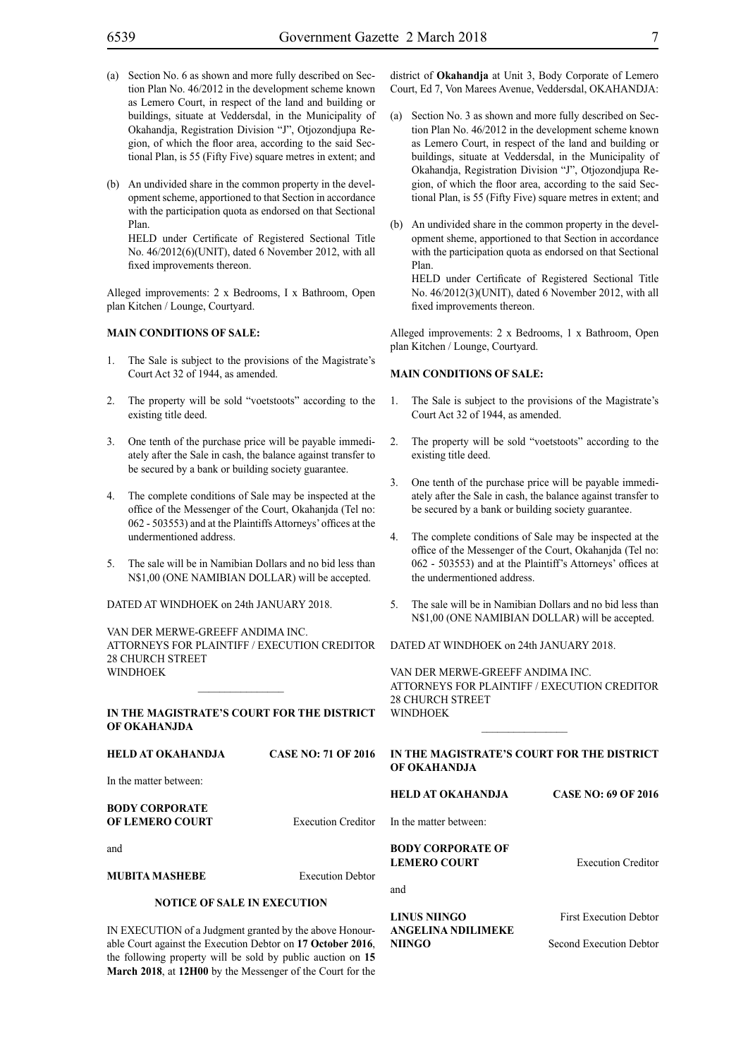- (a) Section No. 6 as shown and more fully described on Section Plan No. 46/2012 in the development scheme known as Lemero Court, in respect of the land and building or buildings, situate at Veddersdal, in the Municipality of Okahandja, Registration Division "J", Otjozondjupa Region, of which the floor area, according to the said Sectional Plan, is 55 (Fifty Five) square metres in extent; and
- (b) An undivided share in the common property in the development scheme, apportioned to that Section in accordance with the participation quota as endorsed on that Sectional Plan.

HELD under Certificate of Registered Sectional Title No. 46/2012(6)(UNIT), dated 6 November 2012, with all fixed improvements thereon.

Alleged improvements: 2 x Bedrooms, I x Bathroom, Open plan Kitchen / Lounge, Courtyard.

## **MAIN CONDITIONS OF SALE:**

- 1. The Sale is subject to the provisions of the Magistrate's Court Act 32 of 1944, as amended.
- 2. The property will be sold "voetstoots" according to the existing title deed.
- 3. One tenth of the purchase price will be payable immediately after the Sale in cash, the balance against transfer to be secured by a bank or building society guarantee.
- 4. The complete conditions of Sale may be inspected at the office of the Messenger of the Court, Okahanjda (Tel no: 062 - 503553) and at the Plaintiffs Attorneys' offices at the undermentioned address.
- 5. The sale will be in Namibian Dollars and no bid less than N\$1,00 (ONE NAMIBIAN DOLLAR) will be accepted.

DATED AT WINDHOEK on 24th JANUARY 2018.

VAN DER MERWE-GREEFF ANDIMA INC. ATTORNEYS FOR Plaintiff / Execution Creditor 28 CHURCH STREET WINDHOEK

## **IN THE MAGISTRATE'S COURT FOR THE DISTRICT OF OKAHANJDA**

the following property will be sold by public auction on **15 March 2018**, at **12H00** by the Messenger of the Court for the

 $\mathcal{L}=\mathcal{L}^{\mathcal{L}}$ 

| HELD AT OKAHANDJA                                           | <b>CASE NO: 71 OF 2016</b> | IN THE MAGISTRATE'S COURT FOR THE DISTRICT<br>OF OKAHANDJA |                               |
|-------------------------------------------------------------|----------------------------|------------------------------------------------------------|-------------------------------|
| In the matter between:                                      |                            |                                                            |                               |
| <b>BODY CORPORATE</b>                                       |                            | <b>HELD AT OKAHANDJA</b>                                   | <b>CASE NO: 69 OF 2016</b>    |
| OF LEMERO COURT                                             | <b>Execution Creditor</b>  | In the matter between:                                     |                               |
| and                                                         |                            | <b>BODY CORPORATE OF</b>                                   |                               |
|                                                             |                            | <b>LEMERO COURT</b>                                        | <b>Execution Creditor</b>     |
| MUBITA MASHEBE                                              | <b>Execution Debtor</b>    |                                                            |                               |
| <b>NOTICE OF SALE IN EXECUTION</b>                          |                            | and                                                        |                               |
|                                                             |                            | LINUS NIINGO                                               | <b>First Execution Debtor</b> |
| IN EXECUTION of a Judgment granted by the above Honour-     |                            | <b>ANGELINA NDILIMEKE</b>                                  |                               |
| able Court against the Execution Debtor on 17 October 2016. |                            | <b>NHNGO</b>                                               | Second Execution Debtor       |

district of **Okahandja** at Unit 3, Body Corporate of Lemero Court, Ed 7, Von Marees Avenue, Veddersdal, OKAHANDJA:

- (a) Section No. 3 as shown and more fully described on Section Plan No. 46/2012 in the development scheme known as Lemero Court, in respect of the land and building or buildings, situate at Veddersdal, in the Municipality of Okahandja, Registration Division "J", Otjozondjupa Region, of which the floor area, according to the said Sectional Plan, is 55 (Fifty Five) square metres in extent; and
- (b) An undivided share in the common property in the development sheme, apportioned to that Section in accordance with the participation quota as endorsed on that Sectional Plan.

HELD under Certificate of Registered Sectional Title No. 46/2012(3)(UNIT), dated 6 November 2012, with all fixed improvements thereon.

Alleged improvements: 2 x Bedrooms, 1 x Bathroom, Open plan Kitchen / Lounge, Courtyard.

## **MAIN CONDITIONS OF SALE:**

- 1. The Sale is subject to the provisions of the Magistrate's Court Act 32 of 1944, as amended.
- 2. The property will be sold "voetstoots" according to the existing title deed.
- 3. One tenth of the purchase price will be payable immediately after the Sale in cash, the balance against transfer to be secured by a bank or building society guarantee.
- 4. The complete conditions of Sale may be inspected at the office of the Messenger of the Court, Okahanjda (Tel no: 062 - 503553) and at the Plaintiff's Attorneys' offices at the undermentioned address.
- 5. The sale will be in Namibian Dollars and no bid less than N\$1,00 (ONE NAMIBIAN DOLLAR) will be accepted.

DATED AT WINDHOEK on 24th JANUARY 2018.

VAN DER MERWE-GREEFF ANDIMA INC. ATTORNEYS FOR Plaintiff / Execution Creditor 28 CHURCH STREET WINDHOEK

 $\frac{1}{2}$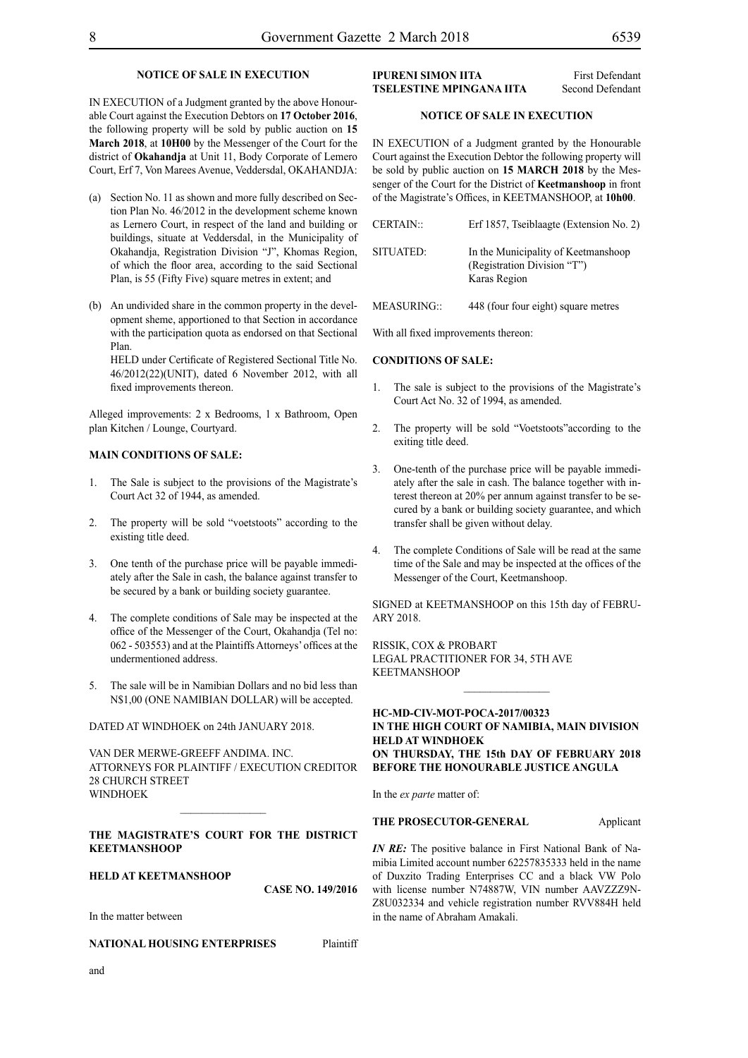## **NOTICE OF SALE IN EXECUTION**

IN EXECUTION of a Judgment granted by the above Honourable Court against the Execution Debtors on **17 October 2016**, the following property will be sold by public auction on **15 March 2018**, at **10H00** by the Messenger of the Court for the district of **Okahandja** at Unit 11, Body Corporate of Lemero Court, Erf 7, Von Marees Avenue, Veddersdal, OKAHANDJA:

- (a) Section No. 11 as shown and more fully described on Section Plan No. 46/2012 in the development scheme known as Lernero Court, in respect of the land and building or buildings, situate at Veddersdal, in the Municipality of Okahandja, Registration Division "J", Khomas Region, of which the floor area, according to the said Sectional Plan, is 55 (Fifty Five) square metres in extent; and
- (b) An undivided share in the common property in the development sheme, apportioned to that Section in accordance with the participation quota as endorsed on that Sectional Plan.

HELD under Certificate of Registered Sectional Title No. 46/2012(22)(UNIT), dated 6 November 2012, with all fixed improvements thereon.

Alleged improvements: 2 x Bedrooms, 1 x Bathroom, Open plan Kitchen / Lounge, Courtyard.

## **MAIN CONDITIONS OF SALE:**

- 1. The Sale is subject to the provisions of the Magistrate's Court Act 32 of 1944, as amended.
- 2. The property will be sold "voetstoots" according to the existing title deed.
- 3. One tenth of the purchase price will be payable immediately after the Sale in cash, the balance against transfer to be secured by a bank or building society guarantee.
- The complete conditions of Sale may be inspected at the office of the Messenger of the Court, Okahandja (Tel no: 062 - 503553) and at the Plaintiffs Attorneys' offices at the undermentioned address.
- 5. The sale will be in Namibian Dollars and no bid less than N\$1,00 (ONE NAMIBIAN DOLLAR) will be accepted.

## DATED AT WINDHOEK on 24th JANUARY 2018.

VAN DER MERWE-GREEFF ANDIMA. INC. ATTORNEYS FOR Plaintiff / Execution Creditor 28 CHURCH STREET WINDHOEK

## **THE MAGISTRATE'S COURT FOR THE DISTRICT KEETMANSHOOP**

## **HELD AT KEETMANSHOOP**

**CASE NO. 149/2016**

In the matter between

## **NATIONAL HOUSING ENTERPRISES** Plaintiff

**IPURENI SIMON IITA** First Defendant

**TSELESTINE MPINGANA IITA** Second Defendant

## **NOTICE OF SALE IN EXECUTION**

IN EXECUTION of a Judgment granted by the Honourable Court against the Execution Debtor the following property will be sold by public auction on **15 MARCH 2018** by the Messenger of the Court for the District of **Keetmanshoop** in front of the Magistrate's Offices, in KEETMANSHOOP, at **10h00**.

| <b>CERTAIN::</b> | Erf 1857, Tseiblaagte (Extension No. 2)                                            |
|------------------|------------------------------------------------------------------------------------|
| SITUATED:        | In the Municipality of Keetmanshoop<br>(Registration Division "T")<br>Karas Region |

MEASURING: 448 (four four eight) square metres

With all fixed improvements thereon:

#### **CONDITIONS OF SALE:**

- The sale is subject to the provisions of the Magistrate's Court Act No. 32 of 1994, as amended.
- The property will be sold "Voetstoots" according to the exiting title deed.
- 3. One-tenth of the purchase price will be payable immediately after the sale in cash. The balance together with interest thereon at 20% per annum against transfer to be secured by a bank or building society guarantee, and which transfer shall be given without delay.
- 4. The complete Conditions of Sale will be read at the same time of the Sale and may be inspected at the offices of the Messenger of the Court, Keetmanshoop.

SIGNED at KEETMANSHOOP on this 15th day of FEBRU-ARY 2018.

RISSIK, COX & PROBART Legal Practitioner for 34, 5th Ave KEETMANSHOOP

## **HC-MD-CIV-MOT-POCA-2017/00323 IN THE HIGH COURT OF NAMIBIA, MAIN DIVISION HELD AT WINDHOEK ON THURSDAY, THE 15th DAY OF FEBRUARY 2018 BEFORE THE HONOURABLE JUSTICE ANGULA**

 $\frac{1}{2}$ 

In the *ex parte* matter of:

## **THE PROSECUTOR-GENERAL Applicant**

*IN RE*: The positive balance in First National Bank of Namibia Limited account number 62257835333 held in the name of Duxzito Trading Enterprises CC and a black VW Polo with license number N74887W, VIN number AAVZZZ9N-Z8U032334 and vehicle registration number RVV884H held in the name of Abraham Amakali.

and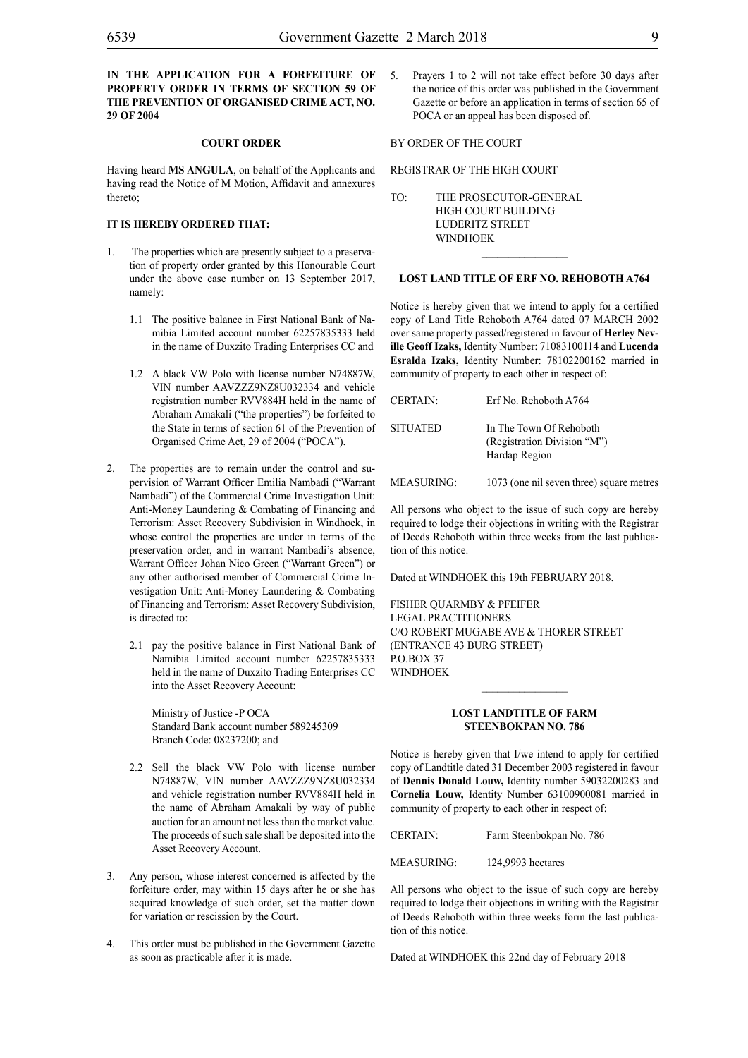## **IN THE APPLICATION FOR A FORFEITURE OF PROPERTY ORDER IN TERMS OF SECTION 59 OF THE PREVENTION OF ORGANISED CRIME ACT, NO. 29 OF 2004**

## **COURT ORDER**

Having heard **MS ANGULA**, on behalf of the Applicants and having read the Notice of M Motion, Affidavit and annexures thereto;

## **IT IS HEREBY ORDERED THAT:**

- 1. The properties which are presently subject to a preservation of property order granted by this Honourable Court under the above case number on 13 September 2017, namely:
	- 1.1 The positive balance in First National Bank of Namibia Limited account number 62257835333 held in the name of Duxzito Trading Enterprises CC and
	- 1.2 A black VW Polo with license number N74887W, VIN number AAVZZZ9NZ8U032334 and vehicle registration number RVV884H held in the name of Abraham Amakali ("the properties") be forfeited to the State in terms of section 61 of the Prevention of Organised Crime Act, 29 of 2004 ("POCA").
- 2. The properties are to remain under the control and supervision of Warrant Officer Emilia Nambadi ("Warrant Nambadi") of the Commercial Crime Investigation Unit: Anti-Money Laundering & Combating of Financing and Terrorism: Asset Recovery Subdivision in Windhoek, in whose control the properties are under in terms of the preservation order, and in warrant Nambadi's absence, Warrant Officer Johan Nico Green ("Warrant Green") or any other authorised member of Commercial Crime Investigation Unit: Anti-Money Laundering & Combating of Financing and Terrorism: Asset Recovery Subdivision, is directed to:
	- 2.1 pay the positive balance in First National Bank of Namibia Limited account number 62257835333 held in the name of Duxzito Trading Enterprises CC into the Asset Recovery Account:

Ministry of Justice -P OCA Standard Bank account number 589245309 Branch Code: 08237200; and

- 2.2 Sell the black VW Polo with license number N74887W, VIN number AAVZZZ9NZ8U032334 and vehicle registration number RVV884H held in the name of Abraham Amakali by way of public auction for an amount not less than the market value. The proceeds of such sale shall be deposited into the Asset Recovery Account.
- 3. Any person, whose interest concerned is affected by the forfeiture order, may within 15 days after he or she has acquired knowledge of such order, set the matter down for variation or rescission by the Court.
- 4. This order must be published in the Government Gazette as soon as practicable after it is made.

5. Prayers 1 to 2 will not take effect before 30 days after the notice of this order was published in the Government Gazette or before an application in terms of section 65 of POCA or an appeal has been disposed of.

### BY ORDER OF THE COURT

## REGISTRAR OF THE HIGH COURT

TO: THE PROSECUTOR-GENERAL HIGH COURT BUILDING LUDERITZ STREET WINDHOEK

### **LOST LAND TITLE OF ERF NO. REHOBOTH A764**

 $\overline{\phantom{a}}$  ,  $\overline{\phantom{a}}$  ,  $\overline{\phantom{a}}$  ,  $\overline{\phantom{a}}$  ,  $\overline{\phantom{a}}$  ,  $\overline{\phantom{a}}$  ,  $\overline{\phantom{a}}$  ,  $\overline{\phantom{a}}$  ,  $\overline{\phantom{a}}$  ,  $\overline{\phantom{a}}$  ,  $\overline{\phantom{a}}$  ,  $\overline{\phantom{a}}$  ,  $\overline{\phantom{a}}$  ,  $\overline{\phantom{a}}$  ,  $\overline{\phantom{a}}$  ,  $\overline{\phantom{a}}$ 

Notice is hereby given that we intend to apply for a certified copy of Land Title Rehoboth A764 dated 07 MARCH 2002 over same property passed/registered in favour of **Herley Neville Geoff Izaks,** Identity Number: 71083100114 and **Lucenda Esralda Izaks,** Identity Number: 78102200162 married in community of property to each other in respect of:

| <b>CERTAIN:</b> | Erf No. Rehoboth A764                                                   |
|-----------------|-------------------------------------------------------------------------|
| <b>SITUATED</b> | In The Town Of Rehoboth<br>(Registration Division "M")<br>Hardap Region |
| MEASURING:      | 1073 (one nil seven three) square metres                                |

All persons who object to the issue of such copy are hereby required to lodge their objections in writing with the Registrar of Deeds Rehoboth within three weeks from the last publication of this notice.

Dated at WINDHOEK this 19th FEBRUARY 2018.

FISHER QUARMBY & PFEIFER Legal Practitioners C/o Robert Mugabe Ave & Thorer Street (Entrance 43 Burg Street) P.O.BOX 37 **WINDHOEK** 

## **LOST LANDTITLE OF FARM STEENBOKPAN NO. 786**

 $\frac{1}{2}$ 

Notice is hereby given that I/we intend to apply for certified copy of Landtitle dated 31 December 2003 registered in favour of **Dennis Donald Louw,** Identity number 59032200283 and **Cornelia Louw,** Identity Number 63100900081 married in community of property to each other in respect of:

CERTAIN: Farm Steenbokpan No. 786

MEASURING: 124,9993 hectares

All persons who object to the issue of such copy are hereby required to lodge their objections in writing with the Registrar of Deeds Rehoboth within three weeks form the last publication of this notice.

Dated at WINDHOEK this 22nd day of February 2018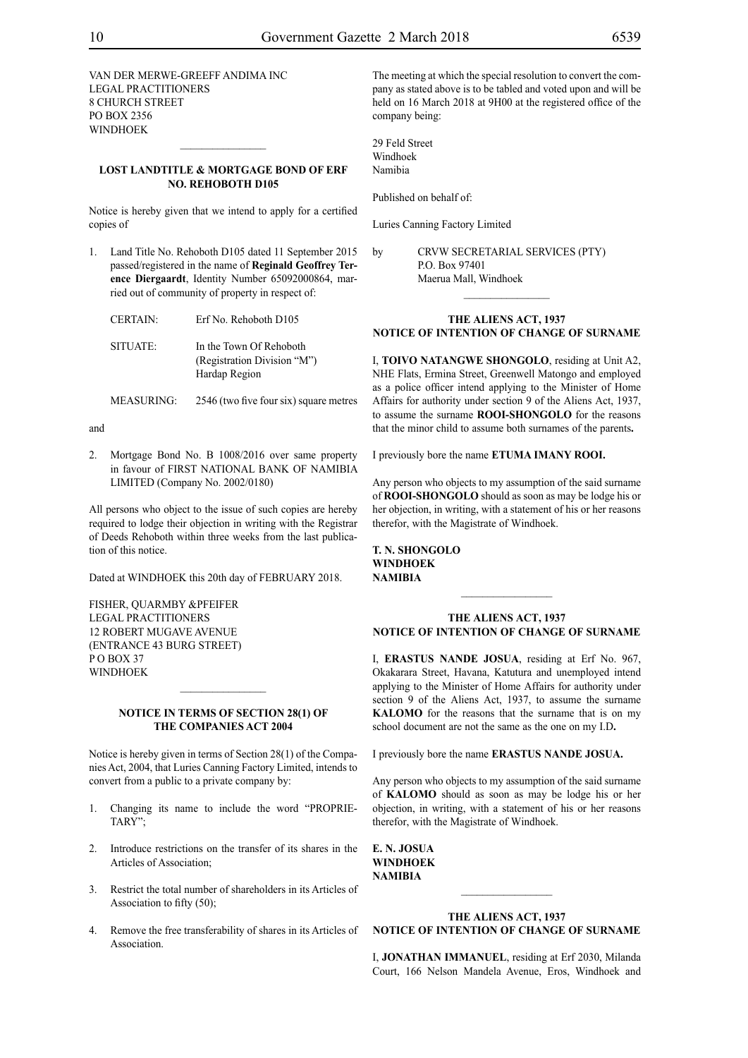VAN DER MERWE-GREEFF ANDIMA INC Legal Practitioners 8 Church Street PO Box 2356 WINDHOEK

## **LOST LANDTITLE & MORTGAGE BOND OF ERF NO. REHOBOTH D105**

 $\frac{1}{2}$ 

Notice is hereby given that we intend to apply for a certified copies of

1. Land Title No. Rehoboth D105 dated 11 September 2015 passed/registered in the name of **Reginald Geoffrey Terence Diergaardt**, Identity Number 65092000864, married out of community of property in respect of:

| <b>CERTAIN:</b> | Erf No. Rehoboth D105                                                   |
|-----------------|-------------------------------------------------------------------------|
| SITUATE:        | In the Town Of Rehoboth<br>(Registration Division "M")<br>Hardap Region |

MEASURING: 2546 (two five four six) square metres

and

2. Mortgage Bond No. B 1008/2016 over same property in favour of FIRST NATIONAL BANK OF NAMIBIA LIMITED (Company No. 2002/0180)

All persons who object to the issue of such copies are hereby required to lodge their objection in writing with the Registrar of Deeds Rehoboth within three weeks from the last publication of this notice.

Dated at WINDHOEK this 20th day of FEBRUARY 2018.

FISHER, QUARMBY &PFEIFER Legal Practitioners 12 Robert Mugave Avenue (entrance 43 Burg Street) PO BOX 37 **WINDHOEK** 

## **NOTICE IN TERMS OF SECTION 28(1) OF THE COMPANIES ACT 2004**

 $\frac{1}{2}$ 

Notice is hereby given in terms of Section 28(1) of the Companies Act, 2004, that Luries Canning Factory Limited, intends to convert from a public to a private company by:

- 1. Changing its name to include the word "PROPRIE-TARY";
- 2. Introduce restrictions on the transfer of its shares in the Articles of Association;
- 3. Restrict the total number of shareholders in its Articles of Association to fifty (50);
- 4. Remove the free transferability of shares in its Articles of Association.

The meeting at which the special resolution to convert the company as stated above is to be tabled and voted upon and will be held on 16 March 2018 at 9H00 at the registered office of the company being:

29 Feld Street Windhoek Namibia

Published on behalf of:

Luries Canning Factory Limited

by CRVW SECRETARIAL SERVICES (PTY) P.O. Box 97401 Maerua Mall, Windhoek

## **THE ALIENS ACT, 1937 NOTICE OF INTENTION OF CHANGE OF SURNAME**

 $\frac{1}{2}$ 

I, **toivo natangwe shongolo**, residing at Unit A2, NHE Flats, Ermina Street, Greenwell Matongo and employed as a police officer intend applying to the Minister of Home Affairs for authority under section 9 of the Aliens Act, 1937, to assume the surname **rooi-shongolo** for the reasons that the minor child to assume both surnames of the parents**.**

I previously bore the name **ETUMA IMANY ROOI.** 

Any person who objects to my assumption of the said surname of **rooi-shongolo** should as soon as may be lodge his or her objection, in writing, with a statement of his or her reasons therefor, with the Magistrate of Windhoek.

**t. n. shongolo Windhoek NAMIBIA**

## **THE ALIENS ACT, 1937 NOTICE OF INTENTION OF CHANGE OF SURNAME**

 $\frac{1}{2}$ 

I, **erastus nande josua**, residing at Erf No. 967, Okakarara Street, Havana, Katutura and unemployed intend applying to the Minister of Home Affairs for authority under section 9 of the Aliens Act, 1937, to assume the surname **KALOMO** for the reasons that the surname that is on my school document are not the same as the one on my I.D**.**

I previously bore the name **erastus nande josua.**

Any person who objects to my assumption of the said surname of **kalomo** should as soon as may be lodge his or her objection, in writing, with a statement of his or her reasons therefor, with the Magistrate of Windhoek.

**e. n. josua Windhoek NAMIBIA**

## **THE ALIENS ACT, 1937 NOTICE OF INTENTION OF CHANGE OF SURNAME**

 $\frac{1}{2}$ 

I, **jonathan immanuel**, residing at Erf 2030, Milanda Court, 166 Nelson Mandela Avenue, Eros, Windhoek and